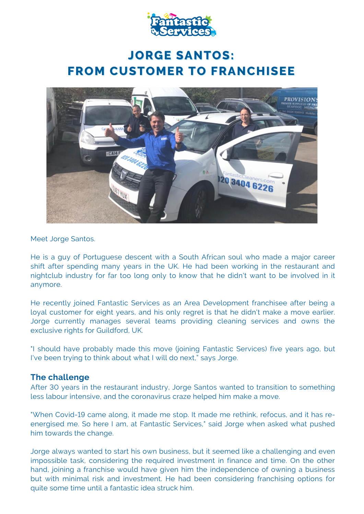

# **JORGE SANTOS: FROM CUSTOMER TO FRANCHISEE**



Meet Jorge Santos.

He is a guy of Portuguese descent with a South African soul who made a major career shift after spending many years in the UK. He had been working in the restaurant and nightclub industry for far too long only to know that he didn't want to be involved in it anymore.

He recently joined Fantastic Services as an Area Development franchisee after being a loyal customer for eight years, and his only regret is that he didn't make a move earlier. Jorge currently manages several teams providing cleaning services and owns the exclusive rights for Guildford, UK.

"I should have probably made this move (joining Fantastic Services) five years ago, but I've been trying to think about what I will do next," says Jorge.

#### **The challenge**

After 30 years in the restaurant industry, Jorge Santos wanted to transition to something less labour intensive, and the coronavirus craze helped him make a move.

"When Covid-19 came along, it made me stop. It made me rethink, refocus, and it has reenergised me. So here I am, at Fantastic Services," said Jorge when asked what pushed him towards the change.

Jorge always wanted to start his own business, but it seemed like a challenging and even impossible task, considering the required investment in finance and time. On the other hand, joining a franchise would have given him the independence of owning a business but with minimal risk and investment. He had been considering franchising options for quite some time until a fantastic idea struck him.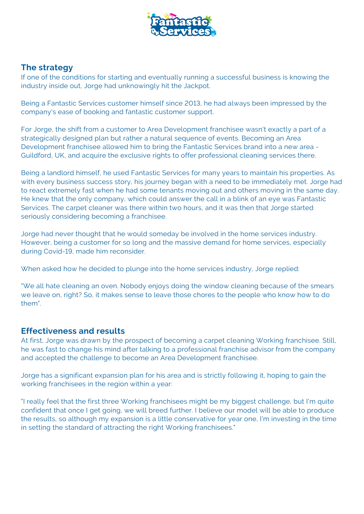

#### **The strategy**

If one of the conditions for starting and eventually running a successful business is knowing the industry inside out, Jorge had unknowingly hit the Jackpot.

Being a Fantastic Services customer himself since 2013, he had always been impressed by the company's ease of booking and fantastic customer support.

For Jorge, the shift from a customer to Area Development franchisee wasn't exactly a part of a strategically designed plan but rather a natural sequence of events. Becoming an Area Development franchisee allowed him to bring the Fantastic Services brand into a new area - Guildford, UK, and acquire the exclusive rights to offer professional cleaning services there.

Being a landlord himself, he used Fantastic Services for many years to maintain his properties. As with every business success story, his journey began with a need to be immediately met. Jorge had to react extremely fast when he had some tenants moving out and others moving in the same day. He knew that the only company, which could answer the call in a blink of an eye was Fantastic Services. The carpet cleaner was there within two hours, and it was then that Jorge started seriously considering becoming a franchisee.

Jorge had never thought that he would someday be involved in the home services industry. However, being a customer for so long and the massive demand for home services, especially during Covid-19, made him reconsider.

When asked how he decided to plunge into the home services industry, Jorge replied:

"We all hate cleaning an oven. Nobody enjoys doing the window cleaning because of the smears we leave on, right? So, it makes sense to leave those chores to the people who know how to do them".

### **Effectiveness and results**

At first, Jorge was drawn by the prospect of becoming a carpet cleaning Working franchisee. Still, he was fast to change his mind after talking to a professional franchise advisor from the company and accepted the challenge to become an Area Development franchisee.

Jorge has a significant expansion plan for his area and is strictly following it, hoping to gain the working franchisees in the region within a year:

"I really feel that the first three Working franchisees might be my biggest challenge, but I'm quite confident that once I get going, we will breed further. I believe our model will be able to produce the results, so although my expansion is a little conservative for year one, I'm investing in the time in setting the standard of attracting the right Working franchisees."